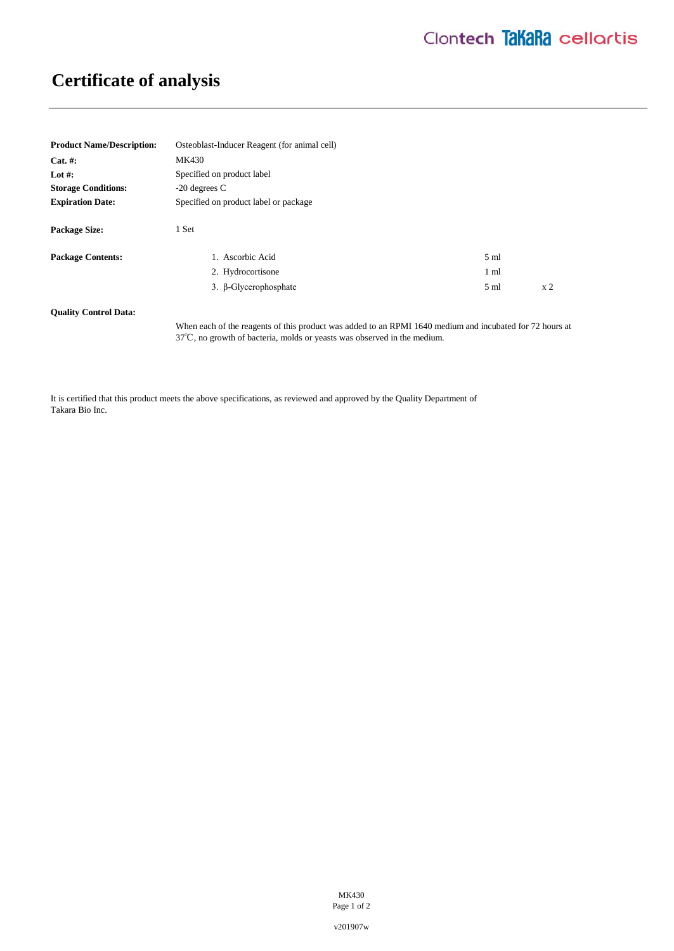## **Certificate of analysis**

| <b>Product Name/Description:</b> | Osteoblast-Inducer Reagent (for animal cell) |                 |                |
|----------------------------------|----------------------------------------------|-----------------|----------------|
| $Cat. \#:$                       | MK430                                        |                 |                |
| Lot #:                           | Specified on product label                   |                 |                |
| <b>Storage Conditions:</b>       | $-20$ degrees C                              |                 |                |
| <b>Expiration Date:</b>          | Specified on product label or package        |                 |                |
| <b>Package Size:</b>             | 1 Set                                        |                 |                |
| <b>Package Contents:</b>         | 1. Ascorbic Acid                             | $5 \text{ ml}$  |                |
|                                  | 2. Hydrocortisone                            | 1 <sub>m1</sub> |                |
|                                  | 3. β-Glycerophosphate                        | $5 \text{ ml}$  | x <sub>2</sub> |
| <b>Ouality Control Data:</b>     |                                              |                 |                |

When each of the reagents of this product was added to an RPMI 1640 medium and incubated for 72 hours at 37℃, no growth of bacteria, molds or yeasts was observed in the medium.

It is certified that this product meets the above specifications, as reviewed and approved by the Quality Department of Takara Bio Inc.

> MK430 Page 1 of 2

v201907w